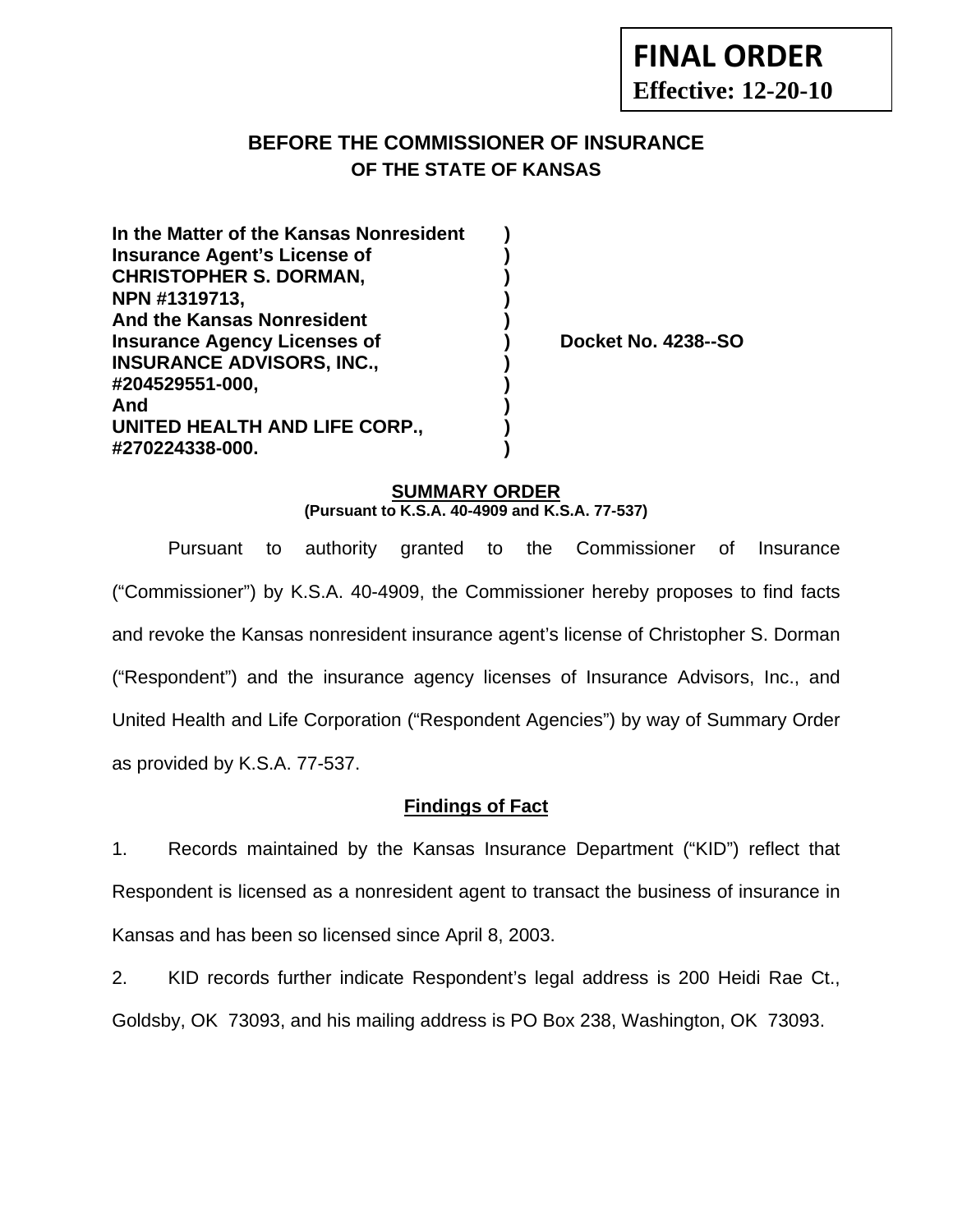# **BEFORE THE COMMISSIONER OF INSURANCE OF THE STATE OF KANSAS**

**In the Matter of the Kansas Nonresident ) Insurance Agent's License of ) CHRISTOPHER S. DORMAN, ) NPN #1319713, ) And the Kansas Nonresident ) Insurance Agency Licenses of (a) Booket No. 4238--SO INSURANCE ADVISORS, INC., ) #204529551-000, ) And ) UNITED HEALTH AND LIFE CORP., ) #270224338-000. )** 

#### **SUMMARY ORDER (Pursuant to K.S.A. 40-4909 and K.S.A. 77-537)**

 Pursuant to authority granted to the Commissioner of Insurance ("Commissioner") by K.S.A. 40-4909, the Commissioner hereby proposes to find facts and revoke the Kansas nonresident insurance agent's license of Christopher S. Dorman ("Respondent") and the insurance agency licenses of Insurance Advisors, Inc., and United Health and Life Corporation ("Respondent Agencies") by way of Summary Order as provided by K.S.A. 77-537.

## **Findings of Fact**

1. Records maintained by the Kansas Insurance Department ("KID") reflect that Respondent is licensed as a nonresident agent to transact the business of insurance in Kansas and has been so licensed since April 8, 2003.

2. KID records further indicate Respondent's legal address is 200 Heidi Rae Ct., Goldsby, OK 73093, and his mailing address is PO Box 238, Washington, OK 73093.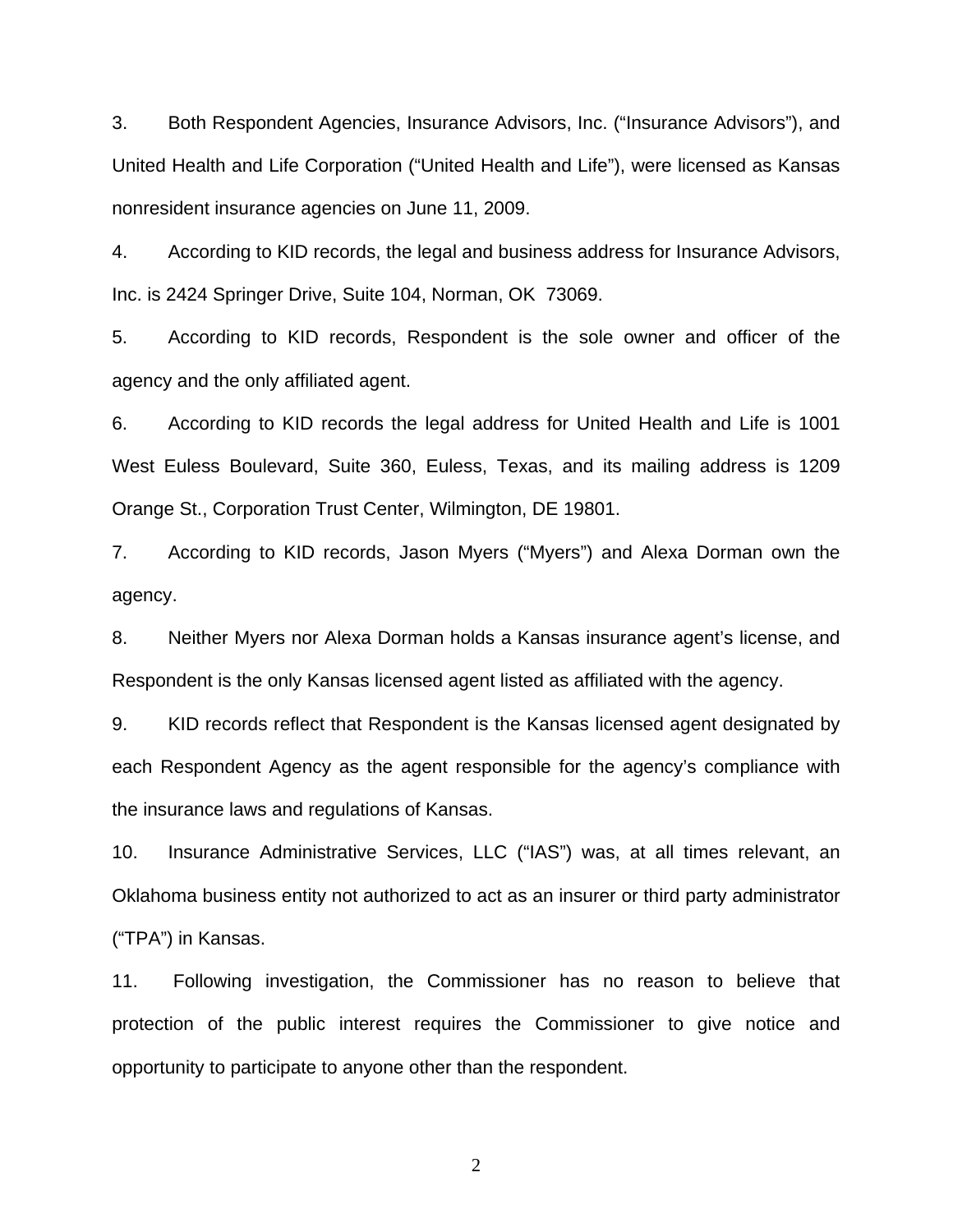3. Both Respondent Agencies, Insurance Advisors, Inc. ("Insurance Advisors"), and United Health and Life Corporation ("United Health and Life"), were licensed as Kansas nonresident insurance agencies on June 11, 2009.

4. According to KID records, the legal and business address for Insurance Advisors, Inc. is 2424 Springer Drive, Suite 104, Norman, OK 73069.

5. According to KID records, Respondent is the sole owner and officer of the agency and the only affiliated agent.

6. According to KID records the legal address for United Health and Life is 1001 West Euless Boulevard, Suite 360, Euless, Texas, and its mailing address is 1209 Orange St., Corporation Trust Center, Wilmington, DE 19801.

7. According to KID records, Jason Myers ("Myers") and Alexa Dorman own the agency.

8. Neither Myers nor Alexa Dorman holds a Kansas insurance agent's license, and Respondent is the only Kansas licensed agent listed as affiliated with the agency.

9. KID records reflect that Respondent is the Kansas licensed agent designated by each Respondent Agency as the agent responsible for the agency's compliance with the insurance laws and regulations of Kansas.

10. Insurance Administrative Services, LLC ("IAS") was, at all times relevant, an Oklahoma business entity not authorized to act as an insurer or third party administrator ("TPA") in Kansas.

11. Following investigation, the Commissioner has no reason to believe that protection of the public interest requires the Commissioner to give notice and opportunity to participate to anyone other than the respondent.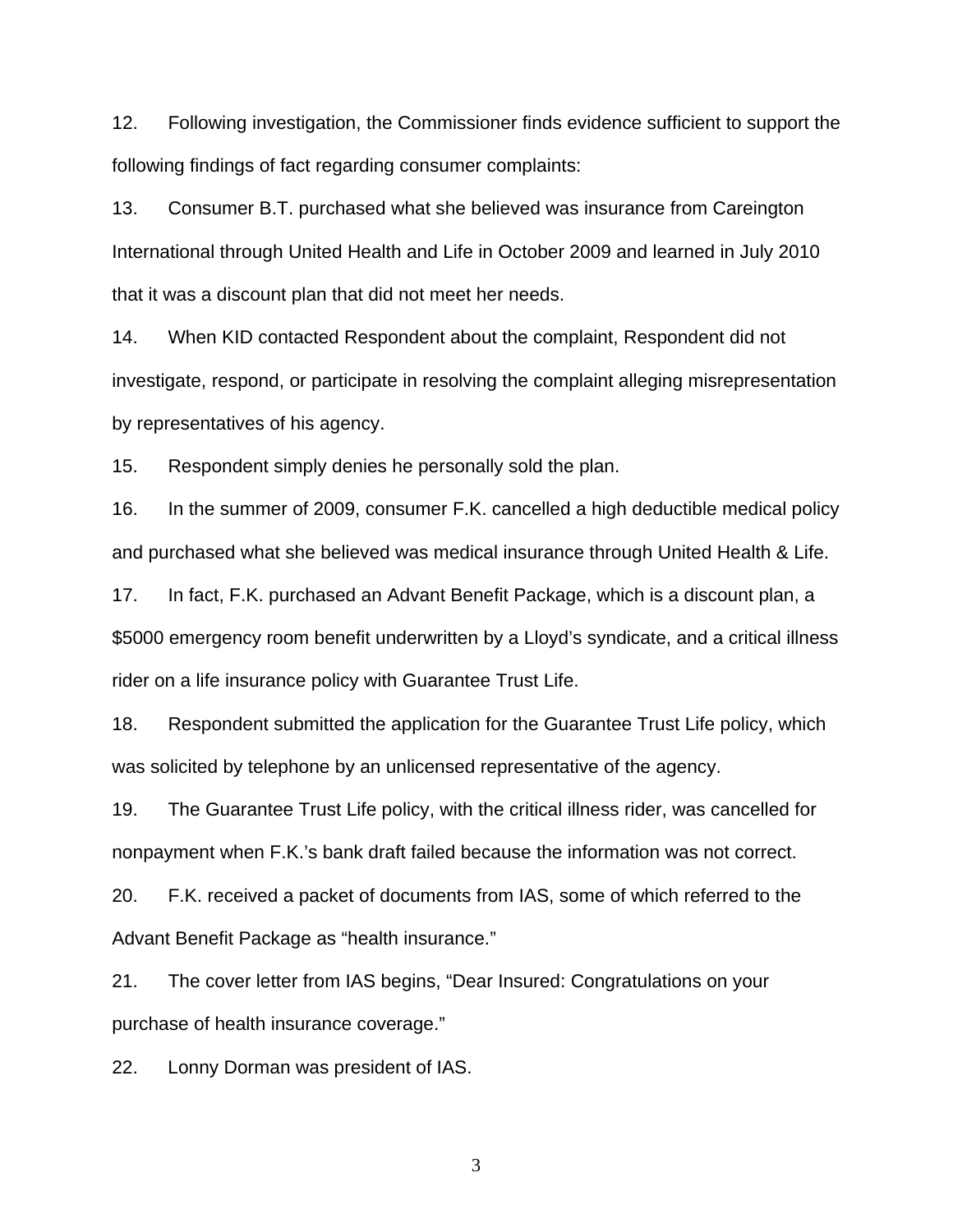12. Following investigation, the Commissioner finds evidence sufficient to support the following findings of fact regarding consumer complaints:

13. Consumer B.T. purchased what she believed was insurance from Careington International through United Health and Life in October 2009 and learned in July 2010 that it was a discount plan that did not meet her needs.

14. When KID contacted Respondent about the complaint, Respondent did not investigate, respond, or participate in resolving the complaint alleging misrepresentation by representatives of his agency.

15. Respondent simply denies he personally sold the plan.

16. In the summer of 2009, consumer F.K. cancelled a high deductible medical policy and purchased what she believed was medical insurance through United Health & Life.

17. In fact, F.K. purchased an Advant Benefit Package, which is a discount plan, a \$5000 emergency room benefit underwritten by a Lloyd's syndicate, and a critical illness rider on a life insurance policy with Guarantee Trust Life.

18. Respondent submitted the application for the Guarantee Trust Life policy, which was solicited by telephone by an unlicensed representative of the agency.

19. The Guarantee Trust Life policy, with the critical illness rider, was cancelled for nonpayment when F.K.'s bank draft failed because the information was not correct.

20. F.K. received a packet of documents from IAS, some of which referred to the Advant Benefit Package as "health insurance."

21. The cover letter from IAS begins, "Dear Insured: Congratulations on your purchase of health insurance coverage."

22. Lonny Dorman was president of IAS.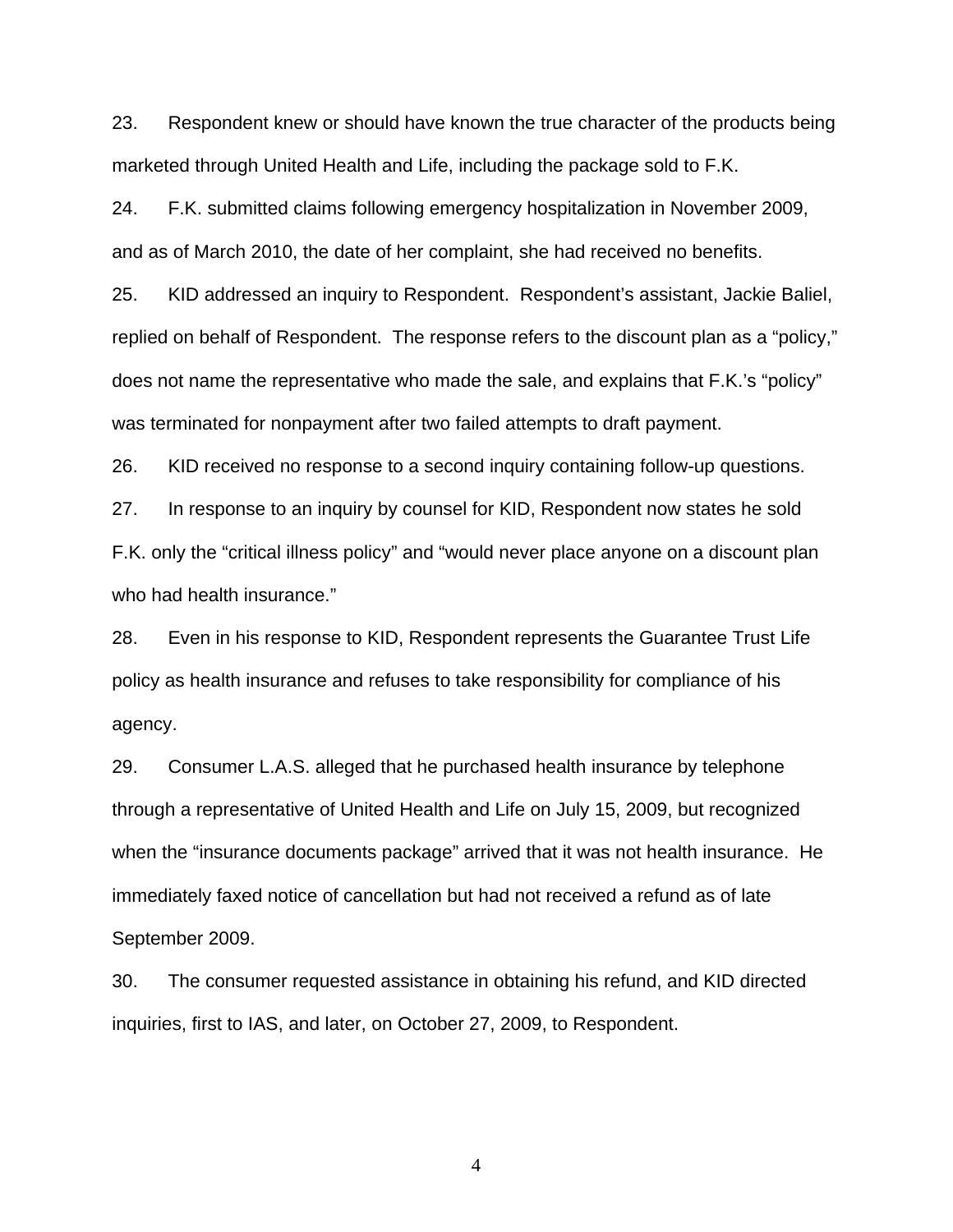23. Respondent knew or should have known the true character of the products being marketed through United Health and Life, including the package sold to F.K.

24. F.K. submitted claims following emergency hospitalization in November 2009, and as of March 2010, the date of her complaint, she had received no benefits.

25. KID addressed an inquiry to Respondent. Respondent's assistant, Jackie Baliel, replied on behalf of Respondent. The response refers to the discount plan as a "policy," does not name the representative who made the sale, and explains that F.K.'s "policy" was terminated for nonpayment after two failed attempts to draft payment.

26. KID received no response to a second inquiry containing follow-up questions.

27. In response to an inquiry by counsel for KID, Respondent now states he sold F.K. only the "critical illness policy" and "would never place anyone on a discount plan who had health insurance."

28. Even in his response to KID, Respondent represents the Guarantee Trust Life policy as health insurance and refuses to take responsibility for compliance of his agency.

29. Consumer L.A.S. alleged that he purchased health insurance by telephone through a representative of United Health and Life on July 15, 2009, but recognized when the "insurance documents package" arrived that it was not health insurance. He immediately faxed notice of cancellation but had not received a refund as of late September 2009.

30. The consumer requested assistance in obtaining his refund, and KID directed inquiries, first to IAS, and later, on October 27, 2009, to Respondent.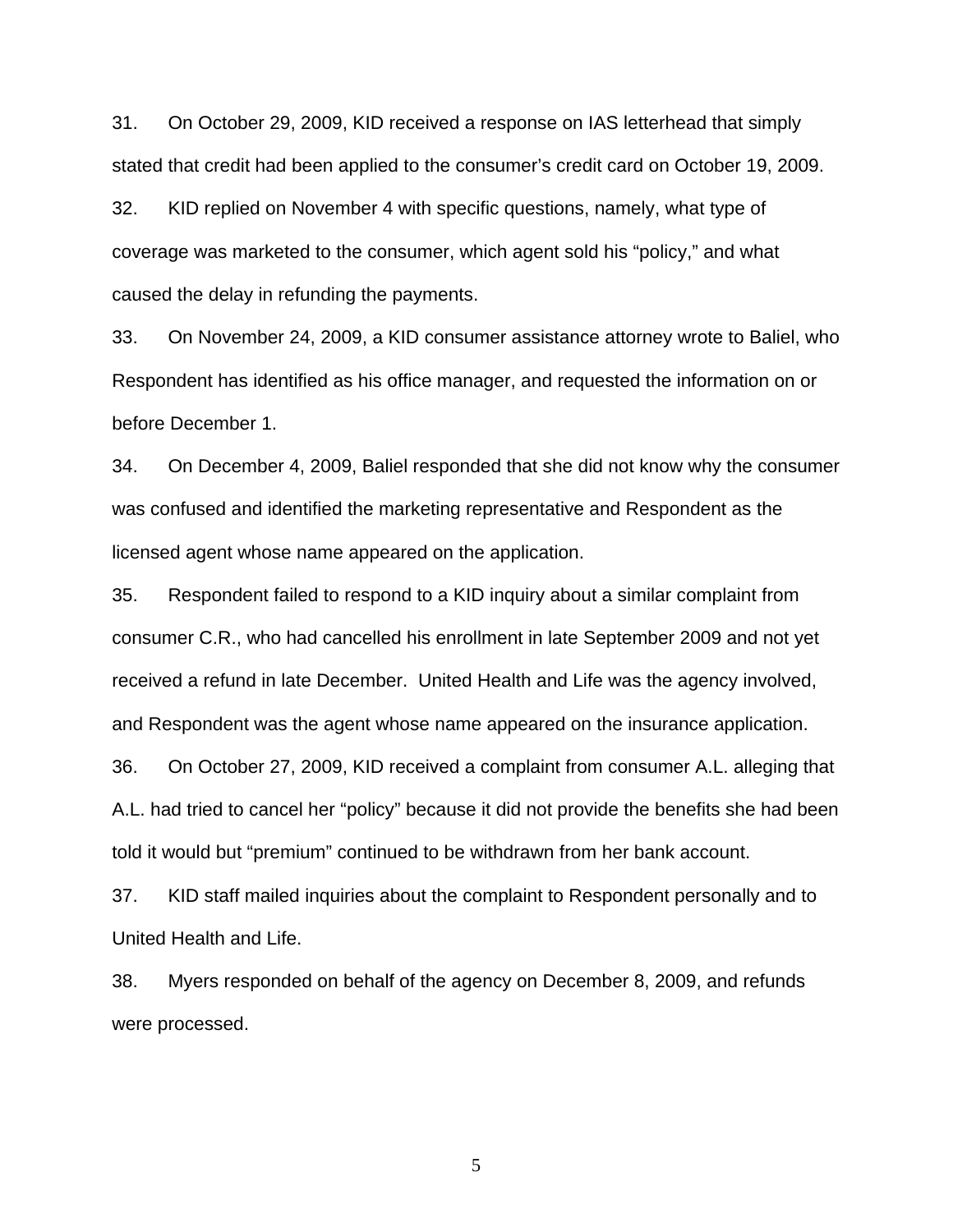31. On October 29, 2009, KID received a response on IAS letterhead that simply stated that credit had been applied to the consumer's credit card on October 19, 2009.

32. KID replied on November 4 with specific questions, namely, what type of coverage was marketed to the consumer, which agent sold his "policy," and what caused the delay in refunding the payments.

33. On November 24, 2009, a KID consumer assistance attorney wrote to Baliel, who Respondent has identified as his office manager, and requested the information on or before December 1.

34. On December 4, 2009, Baliel responded that she did not know why the consumer was confused and identified the marketing representative and Respondent as the licensed agent whose name appeared on the application.

35. Respondent failed to respond to a KID inquiry about a similar complaint from consumer C.R., who had cancelled his enrollment in late September 2009 and not yet received a refund in late December. United Health and Life was the agency involved, and Respondent was the agent whose name appeared on the insurance application.

36. On October 27, 2009, KID received a complaint from consumer A.L. alleging that A.L. had tried to cancel her "policy" because it did not provide the benefits she had been told it would but "premium" continued to be withdrawn from her bank account.

37. KID staff mailed inquiries about the complaint to Respondent personally and to United Health and Life.

38. Myers responded on behalf of the agency on December 8, 2009, and refunds were processed.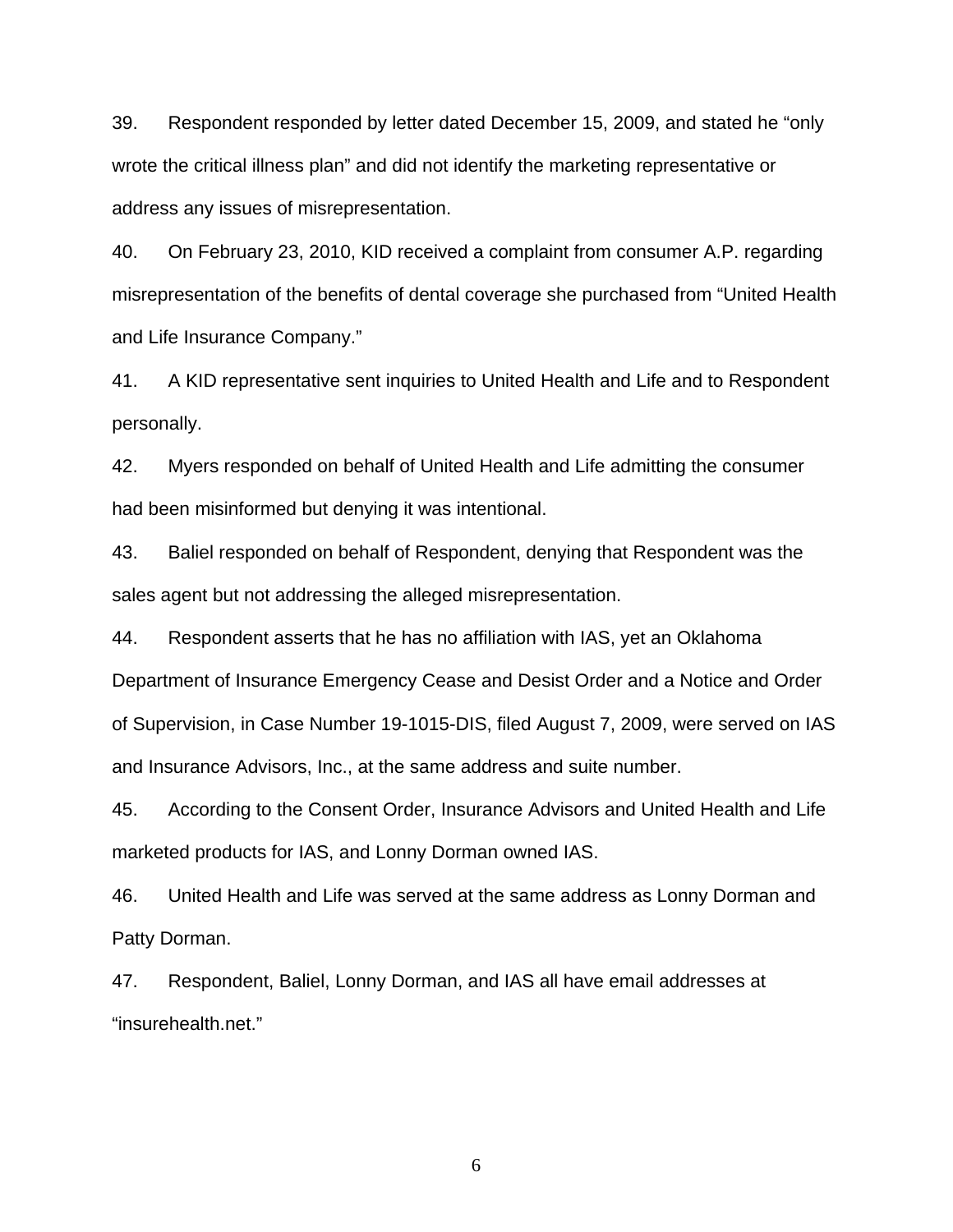39. Respondent responded by letter dated December 15, 2009, and stated he "only wrote the critical illness plan" and did not identify the marketing representative or address any issues of misrepresentation.

40. On February 23, 2010, KID received a complaint from consumer A.P. regarding misrepresentation of the benefits of dental coverage she purchased from "United Health and Life Insurance Company."

41. A KID representative sent inquiries to United Health and Life and to Respondent personally.

42. Myers responded on behalf of United Health and Life admitting the consumer had been misinformed but denying it was intentional.

43. Baliel responded on behalf of Respondent, denying that Respondent was the sales agent but not addressing the alleged misrepresentation.

44. Respondent asserts that he has no affiliation with IAS, yet an Oklahoma Department of Insurance Emergency Cease and Desist Order and a Notice and Order of Supervision, in Case Number 19-1015-DIS, filed August 7, 2009, were served on IAS and Insurance Advisors, Inc., at the same address and suite number.

45. According to the Consent Order, Insurance Advisors and United Health and Life marketed products for IAS, and Lonny Dorman owned IAS.

46. United Health and Life was served at the same address as Lonny Dorman and Patty Dorman.

47. Respondent, Baliel, Lonny Dorman, and IAS all have email addresses at "insurehealth.net."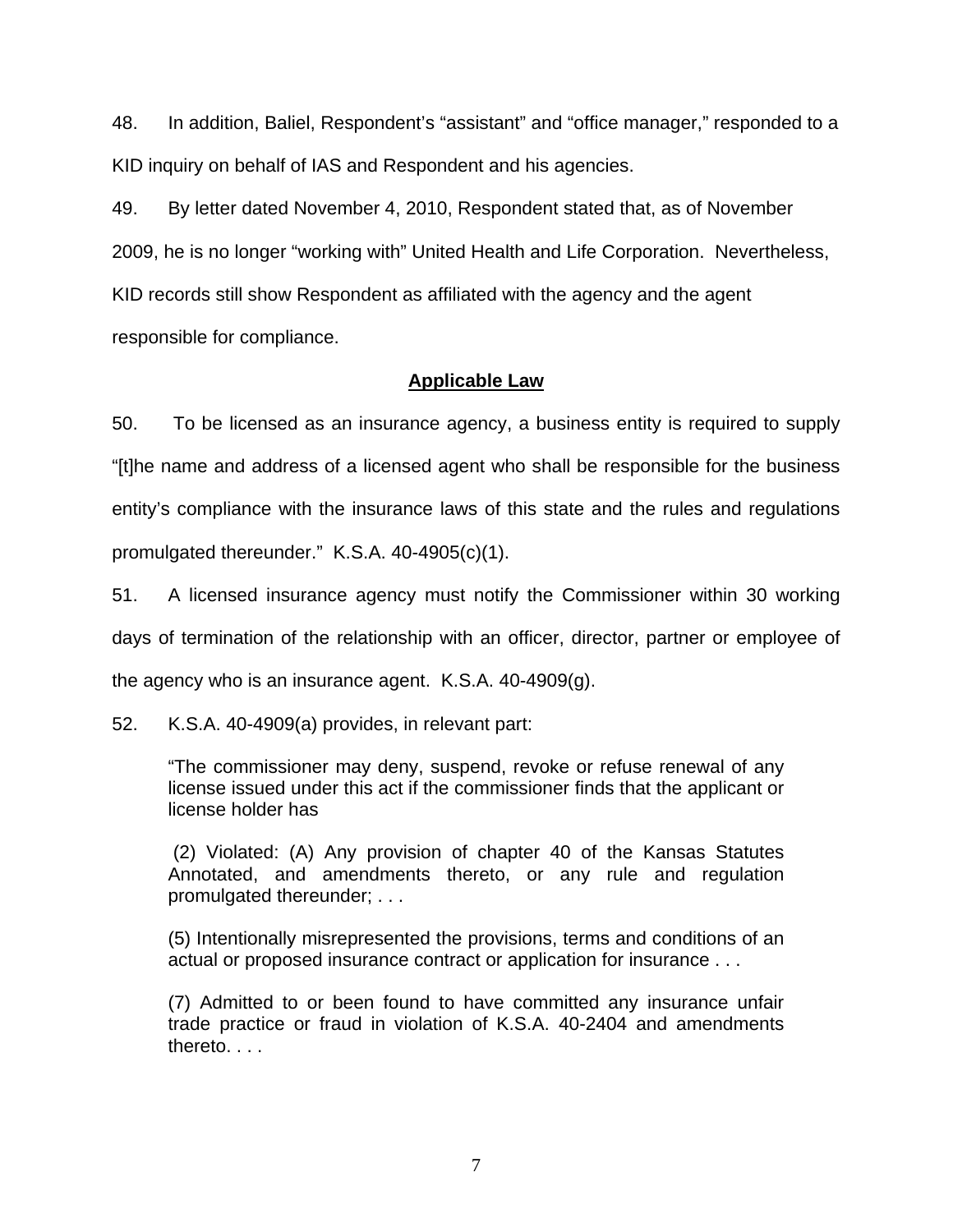48. In addition, Baliel, Respondent's "assistant" and "office manager," responded to a KID inquiry on behalf of IAS and Respondent and his agencies.

49. By letter dated November 4, 2010, Respondent stated that, as of November 2009, he is no longer "working with" United Health and Life Corporation. Nevertheless, KID records still show Respondent as affiliated with the agency and the agent responsible for compliance.

## **Applicable Law**

50. To be licensed as an insurance agency, a business entity is required to supply "[t]he name and address of a licensed agent who shall be responsible for the business entity's compliance with the insurance laws of this state and the rules and regulations promulgated thereunder." K.S.A. 40-4905(c)(1).

51. A licensed insurance agency must notify the Commissioner within 30 working days of termination of the relationship with an officer, director, partner or employee of the agency who is an insurance agent. K.S.A. 40-4909(g).

52. K.S.A. 40-4909(a) provides, in relevant part:

"The commissioner may deny, suspend, revoke or refuse renewal of any license issued under this act if the commissioner finds that the applicant or license holder has

 (2) Violated: (A) Any provision of chapter 40 of the Kansas Statutes Annotated, and amendments thereto, or any rule and regulation promulgated thereunder; . . .

(5) Intentionally misrepresented the provisions, terms and conditions of an actual or proposed insurance contract or application for insurance . . .

(7) Admitted to or been found to have committed any insurance unfair trade practice or fraud in violation of K.S.A. 40-2404 and amendments thereto. . . .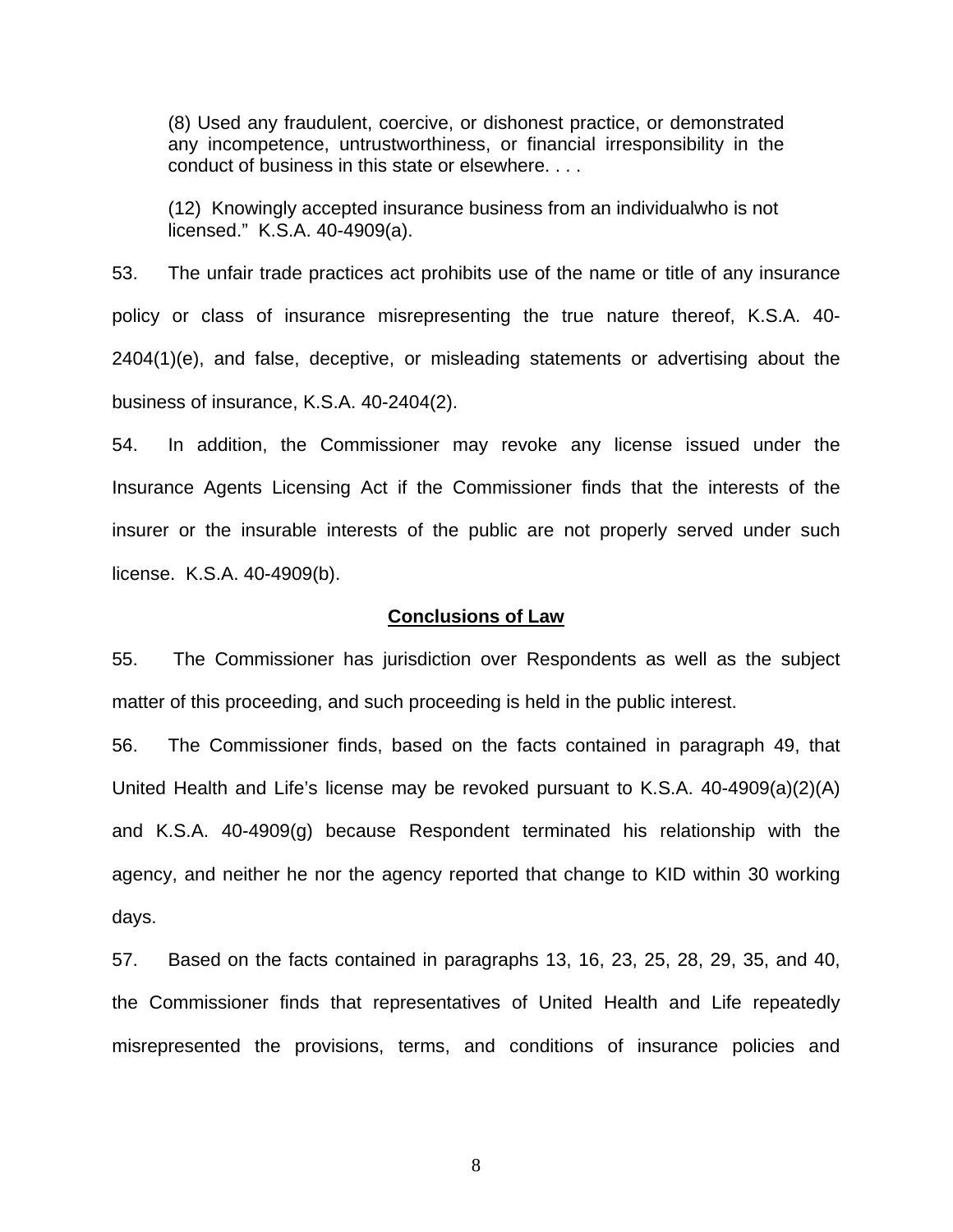(8) Used any fraudulent, coercive, or dishonest practice, or demonstrated any incompetence, untrustworthiness, or financial irresponsibility in the conduct of business in this state or elsewhere. . . .

(12) Knowingly accepted insurance business from an individualwho is not licensed." K.S.A. 40-4909(a).

53. The unfair trade practices act prohibits use of the name or title of any insurance policy or class of insurance misrepresenting the true nature thereof, K.S.A. 40- 2404(1)(e), and false, deceptive, or misleading statements or advertising about the business of insurance, K.S.A. 40-2404(2).

54. In addition, the Commissioner may revoke any license issued under the Insurance Agents Licensing Act if the Commissioner finds that the interests of the insurer or the insurable interests of the public are not properly served under such license. K.S.A. 40-4909(b).

#### **Conclusions of Law**

55. The Commissioner has jurisdiction over Respondents as well as the subject matter of this proceeding, and such proceeding is held in the public interest.

56. The Commissioner finds, based on the facts contained in paragraph 49, that United Health and Life's license may be revoked pursuant to K.S.A. 40-4909(a)(2)(A) and K.S.A. 40-4909(g) because Respondent terminated his relationship with the agency, and neither he nor the agency reported that change to KID within 30 working days.

57. Based on the facts contained in paragraphs 13, 16, 23, 25, 28, 29, 35, and 40, the Commissioner finds that representatives of United Health and Life repeatedly misrepresented the provisions, terms, and conditions of insurance policies and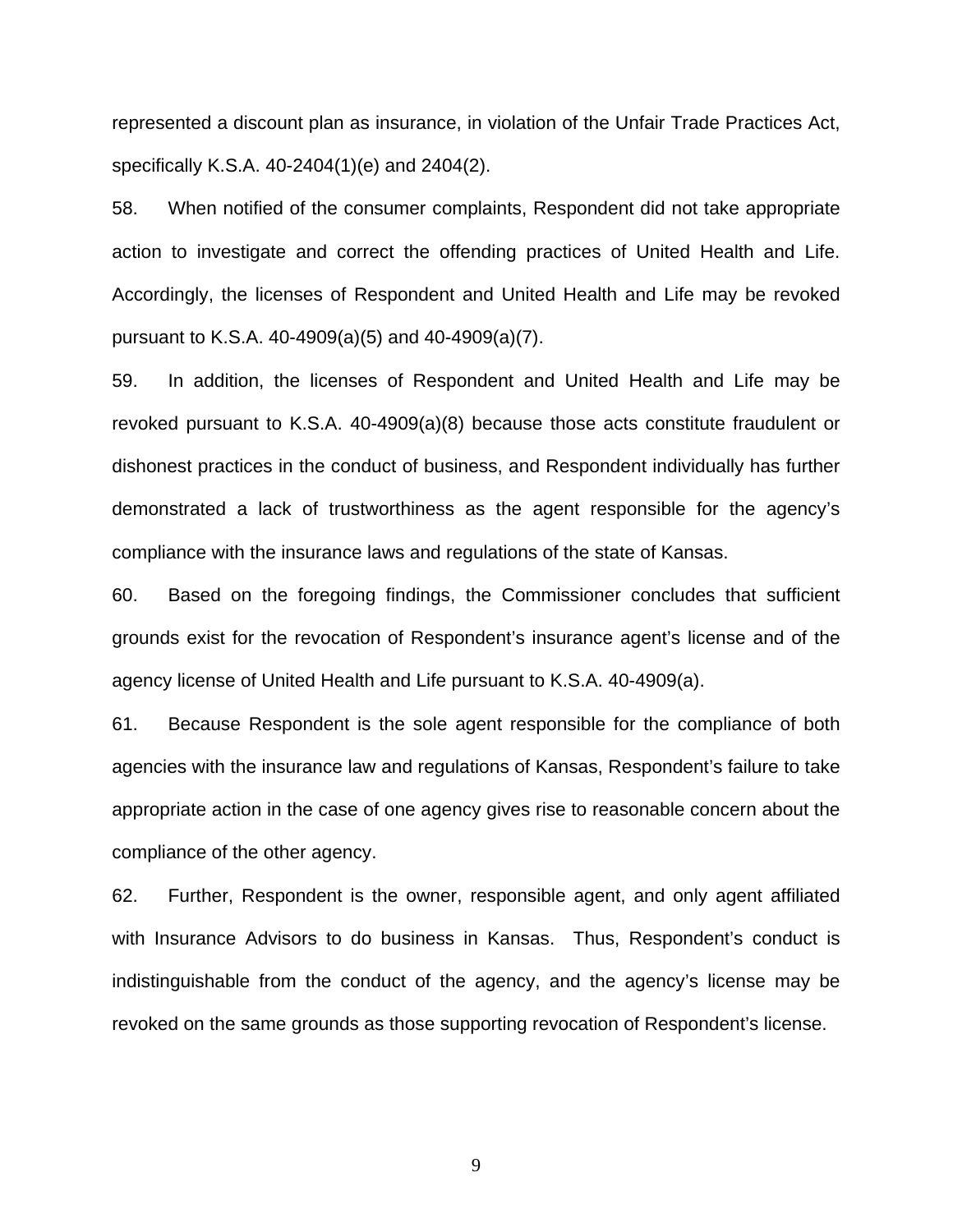represented a discount plan as insurance, in violation of the Unfair Trade Practices Act, specifically K.S.A. 40-2404(1)(e) and 2404(2).

58. When notified of the consumer complaints, Respondent did not take appropriate action to investigate and correct the offending practices of United Health and Life. Accordingly, the licenses of Respondent and United Health and Life may be revoked pursuant to K.S.A. 40-4909(a)(5) and 40-4909(a)(7).

59. In addition, the licenses of Respondent and United Health and Life may be revoked pursuant to K.S.A. 40-4909(a)(8) because those acts constitute fraudulent or dishonest practices in the conduct of business, and Respondent individually has further demonstrated a lack of trustworthiness as the agent responsible for the agency's compliance with the insurance laws and regulations of the state of Kansas.

60. Based on the foregoing findings, the Commissioner concludes that sufficient grounds exist for the revocation of Respondent's insurance agent's license and of the agency license of United Health and Life pursuant to K.S.A. 40-4909(a).

61. Because Respondent is the sole agent responsible for the compliance of both agencies with the insurance law and regulations of Kansas, Respondent's failure to take appropriate action in the case of one agency gives rise to reasonable concern about the compliance of the other agency.

62. Further, Respondent is the owner, responsible agent, and only agent affiliated with Insurance Advisors to do business in Kansas. Thus, Respondent's conduct is indistinguishable from the conduct of the agency, and the agency's license may be revoked on the same grounds as those supporting revocation of Respondent's license.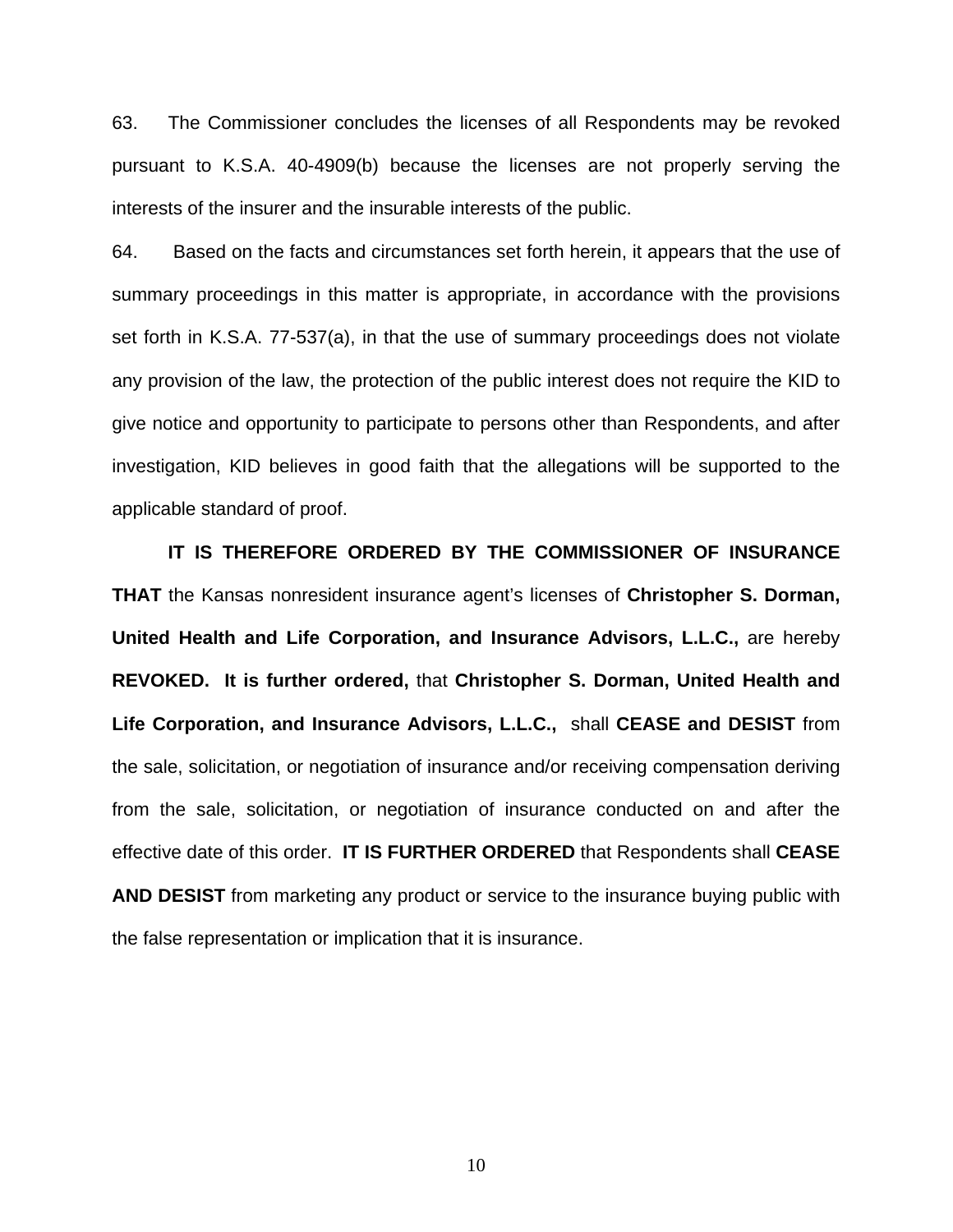63. The Commissioner concludes the licenses of all Respondents may be revoked pursuant to K.S.A. 40-4909(b) because the licenses are not properly serving the interests of the insurer and the insurable interests of the public.

64. Based on the facts and circumstances set forth herein, it appears that the use of summary proceedings in this matter is appropriate, in accordance with the provisions set forth in K.S.A. 77-537(a), in that the use of summary proceedings does not violate any provision of the law, the protection of the public interest does not require the KID to give notice and opportunity to participate to persons other than Respondents, and after investigation, KID believes in good faith that the allegations will be supported to the applicable standard of proof.

 **IT IS THEREFORE ORDERED BY THE COMMISSIONER OF INSURANCE THAT** the Kansas nonresident insurance agent's licenses of **Christopher S. Dorman, United Health and Life Corporation, and Insurance Advisors, L.L.C.,** are hereby **REVOKED. It is further ordered,** that **Christopher S. Dorman, United Health and Life Corporation, and Insurance Advisors, L.L.C.,** shall **CEASE and DESIST** from the sale, solicitation, or negotiation of insurance and/or receiving compensation deriving from the sale, solicitation, or negotiation of insurance conducted on and after the effective date of this order. **IT IS FURTHER ORDERED** that Respondents shall **CEASE AND DESIST** from marketing any product or service to the insurance buying public with the false representation or implication that it is insurance.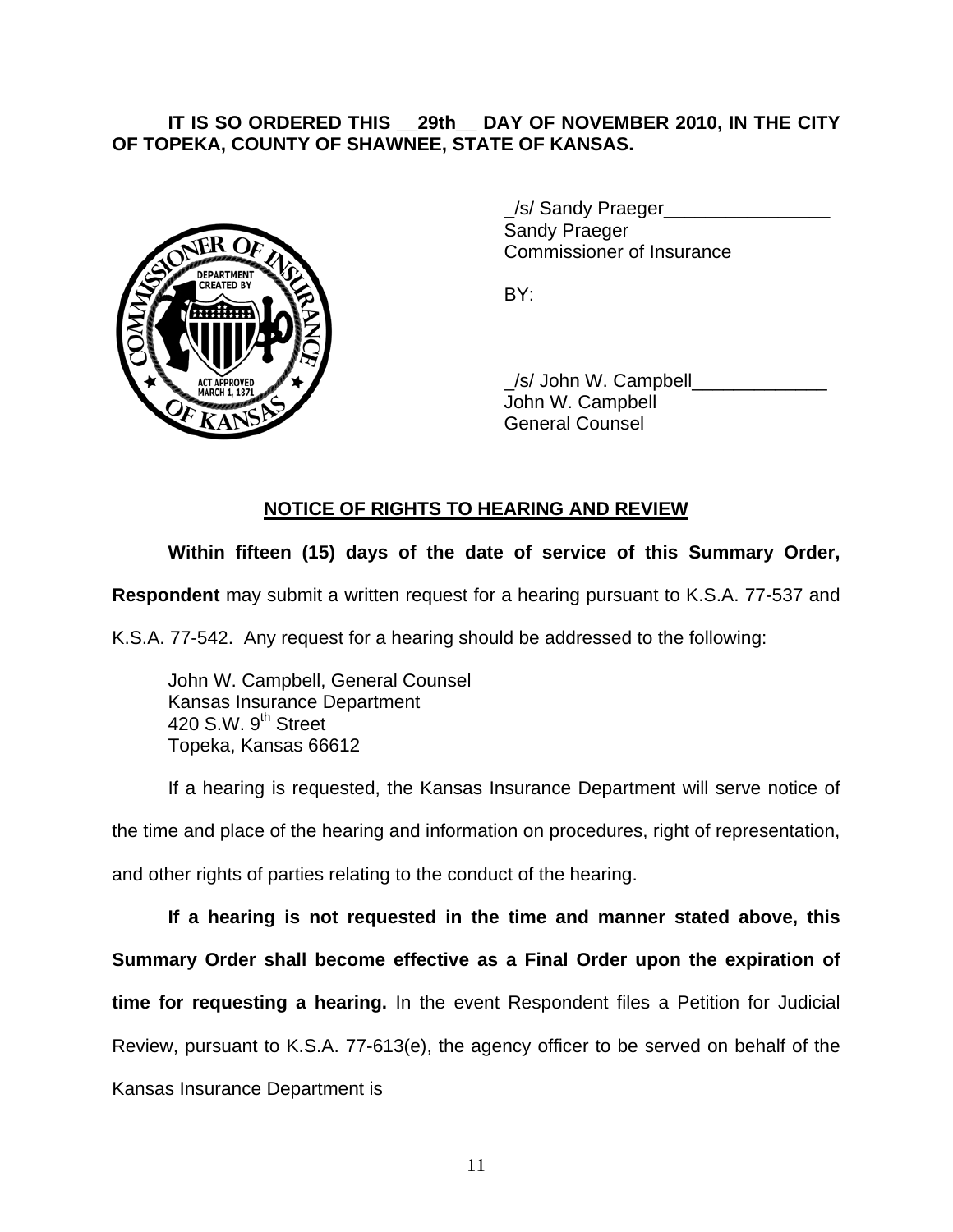## **IT IS SO ORDERED THIS \_\_29th\_\_ DAY OF NOVEMBER 2010, IN THE CITY OF TOPEKA, COUNTY OF SHAWNEE, STATE OF KANSAS.**



/s/ Sandy Praeger Sandy Praeger Commissioner of Insurance

 \_/s/ John W. Campbell\_\_\_\_\_\_\_\_\_\_\_\_\_ John W. Campbell General Counsel

## **NOTICE OF RIGHTS TO HEARING AND REVIEW**

## **Within fifteen (15) days of the date of service of this Summary Order,**

**Respondent** may submit a written request for a hearing pursuant to K.S.A. 77-537 and

K.S.A. 77-542. Any request for a hearing should be addressed to the following:

 John W. Campbell, General Counsel Kansas Insurance Department 420 S.W. 9<sup>th</sup> Street Topeka, Kansas 66612

If a hearing is requested, the Kansas Insurance Department will serve notice of the time and place of the hearing and information on procedures, right of representation, and other rights of parties relating to the conduct of the hearing.

**If a hearing is not requested in the time and manner stated above, this Summary Order shall become effective as a Final Order upon the expiration of time for requesting a hearing.** In the event Respondent files a Petition for Judicial Review, pursuant to K.S.A. 77-613(e), the agency officer to be served on behalf of the Kansas Insurance Department is